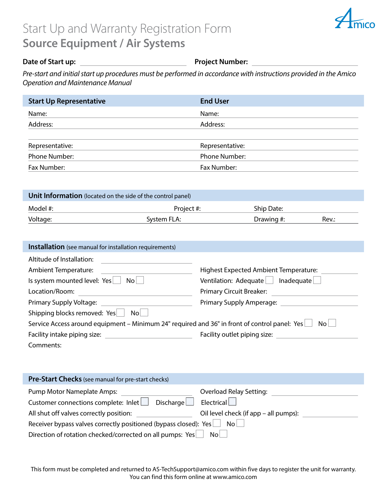## Start Up and Warranty Registration Form **Source Equipment / Air Systems**



## **Date of Start up: Project Number: Project Number:**

*Pre-start and initial start up procedures must be performed in accordance with instructions provided in the Amico Operation and Maintenance Manual*

| <b>Start Up Representative</b> | <b>End User</b>      |
|--------------------------------|----------------------|
| Name:                          | Name:                |
| Address:                       | Address:             |
|                                |                      |
| Representative:                | Representative:      |
| Phone Number:                  | <b>Phone Number:</b> |
| Fax Number:                    | Fax Number:          |

| <b>Unit Information</b> (located on the side of the control panel) |             |            |       |
|--------------------------------------------------------------------|-------------|------------|-------|
| Model #:                                                           | Project #:  | Ship Date: |       |
| Voltage:                                                           | System FLA: | Drawing #: | Rev.: |

| <b>Installation</b> (see manual for installation requirements)                                       |                                              |  |  |
|------------------------------------------------------------------------------------------------------|----------------------------------------------|--|--|
| Altitude of Installation:                                                                            |                                              |  |  |
| <b>Ambient Temperature:</b>                                                                          | <b>Highest Expected Ambient Temperature:</b> |  |  |
| Is system mounted level: Yes<br>No                                                                   | Ventilation: Adequate<br>$Inad$ equate       |  |  |
| Location/Room:                                                                                       | <b>Primary Circuit Breaker:</b>              |  |  |
| Primary Supply Voltage:                                                                              | Primary Supply Amperage:                     |  |  |
| Shipping blocks removed: Yes<br>N <sub>O</sub>                                                       |                                              |  |  |
| Service Access around equipment – Minimum 24" required and 36" in front of control panel: Yes∟<br>No |                                              |  |  |
| Facility intake piping size:                                                                         | Facility outlet piping size:                 |  |  |
| Comments:                                                                                            |                                              |  |  |

| <b>Pre-Start Checks</b> (see manual for pre-start checks)                |                                       |  |
|--------------------------------------------------------------------------|---------------------------------------|--|
| Pump Motor Nameplate Amps:                                               | <b>Overload Relay Setting:</b>        |  |
| Customer connections complete: $lnlet$ Discharge $\Box$                  | Electrical                            |  |
| All shut off valves correctly position:                                  | Oil level check (if app – all pumps): |  |
| Receiver bypass valves correctly positioned (bypass closed): Yes<br>No l |                                       |  |
| Direction of rotation checked/corrected on all pumps: Yes<br>Nol.        |                                       |  |

This form must be completed and returned to AS-TechSupport@amico.com within five days to register the unit for warranty. You can find this form online at www.amico.com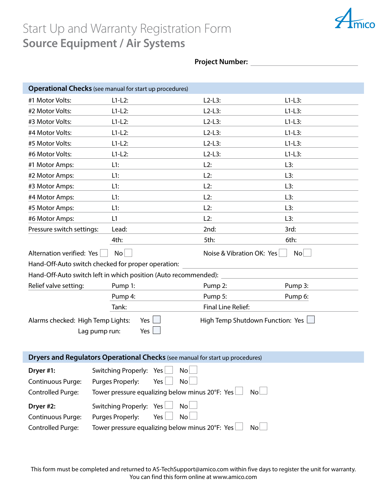## Start Up and Warranty Registration Form **Source Equipment / Air Systems**

I



## **Project Number:**

|                                                                                                                               | <b>Operational Checks</b> (see manual for start up procedures)                                           |                           |          |
|-------------------------------------------------------------------------------------------------------------------------------|----------------------------------------------------------------------------------------------------------|---------------------------|----------|
| #1 Motor Volts:                                                                                                               | $L1-L2$ :                                                                                                | $L2-L3:$                  | $L1-L3:$ |
| #2 Motor Volts:                                                                                                               | $L1-L2$ :                                                                                                | $L2-L3$ :                 | $L1-L3:$ |
| #3 Motor Volts:                                                                                                               | $L1-L2$ :                                                                                                | $L2-L3:$                  | $L1-L3:$ |
| #4 Motor Volts:                                                                                                               | $L1-L2$ :                                                                                                | $L2-L3:$                  | $L1-L3:$ |
| #5 Motor Volts:                                                                                                               | $L1-L2$ :                                                                                                | $L2-L3:$                  | $L1-L3:$ |
| #6 Motor Volts:                                                                                                               | $L1-L2$ :                                                                                                | $L2-L3:$                  | $L1-L3:$ |
| #1 Motor Amps:                                                                                                                | L1:                                                                                                      | L2:                       | L3:      |
| #2 Motor Amps:                                                                                                                | L1:                                                                                                      | L2:                       | L3:      |
| #3 Motor Amps:                                                                                                                | L1:                                                                                                      | L2:                       | L3:      |
| #4 Motor Amps:                                                                                                                | L1:                                                                                                      | L2:                       | L3:      |
| #5 Motor Amps:                                                                                                                | L1:                                                                                                      | L2:                       | L3:      |
| #6 Motor Amps:                                                                                                                | L1                                                                                                       | L2:                       | L3:      |
| Pressure switch settings:                                                                                                     | Lead:                                                                                                    | 2nd:                      | 3rd:     |
|                                                                                                                               | 4th:                                                                                                     | 5th:                      | 6th:     |
| Alternation verified: Yes                                                                                                     | No                                                                                                       | Noise & Vibration OK: Yes | No       |
|                                                                                                                               | Hand-Off-Auto switch checked for proper operation:                                                       |                           |          |
|                                                                                                                               | Hand-Off-Auto switch left in which position (Auto recommended):                                          |                           |          |
| Relief valve setting:                                                                                                         | Pump 1:                                                                                                  | Pump 2:                   | Pump 3:  |
|                                                                                                                               | Pump 4:                                                                                                  | Pump 5:                   | Pump 6:  |
|                                                                                                                               | Tank:                                                                                                    | Final Line Relief:        |          |
| Alarms checked: High Temp Lights:<br>Yes $\vert$<br>High Temp Shutdown Function: Yes $\lfloor$<br>Yes $\Box$<br>Lag pump run: |                                                                                                          |                           |          |
| Dryers and Regulators Operational Checks (see manual for start up procedures)                                                 |                                                                                                          |                           |          |
| Dryer #1:<br>Continuous Purge:<br><b>Controlled Purge:</b>                                                                    | Switching Properly:<br>Yes<br>Purges Properly:<br>Yes<br>Tower pressure equalizing below minus 20°F: Yes | No<br>No<br>No            |          |
| Dryer #2:                                                                                                                     | Switching Properly:<br>Yes                                                                               | No                        |          |
| Continuous Purge:                                                                                                             | Purges Properly:<br>Yes                                                                                  | No                        |          |
| Tower pressure equalizing below minus 20°F: Yes<br>Controlled Purge:<br>No                                                    |                                                                                                          |                           |          |

This form must be completed and returned to AS-TechSupport@amico.com within five days to register the unit for warranty. You can find this form online at www.amico.com